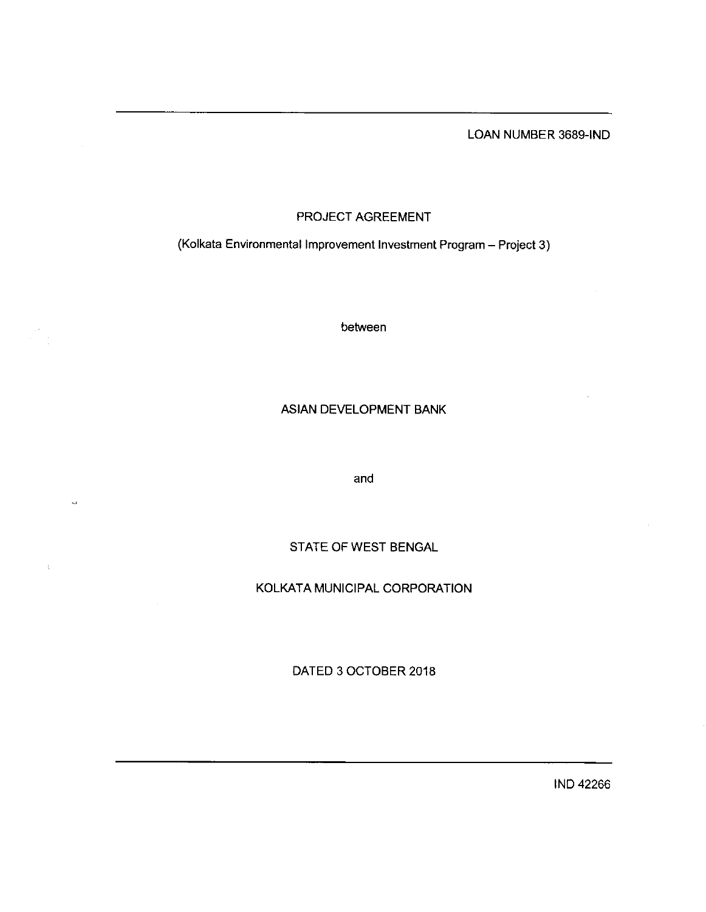LOAN NUMBER 3689-IND

# PROJECT AGREEMENT

(Kolkata Environmental Improvement Investment Program - Project 3)

between

## ASIAN DEVELOPMENT BANK

and

# STATE OF WEST BENGAL

## KOLKATA MUNICIPAL CORPORATION

DATED 3 0CTOBER 2018

IND 42266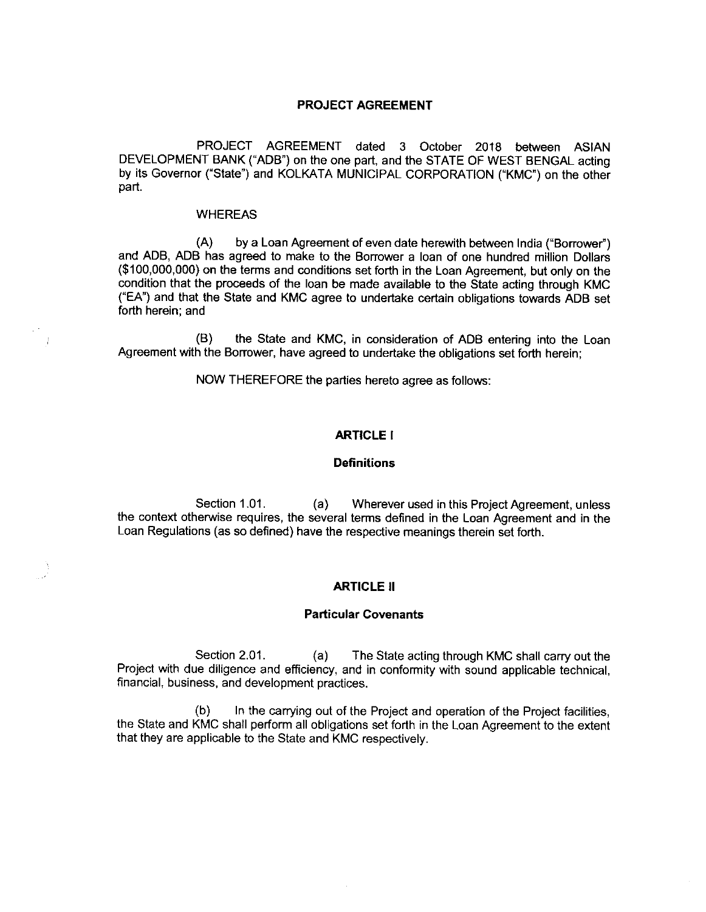## PROJECT AGREEMENT

PROJECT AGREEMENT dated 3 0ctober 2018 between ASIAN DEVELOPMENT BANK("ADB") on the one part, and the STATE OF WEST BENGAL acting by its Governor ("State") and KOLKATA MUNICIPAL CORPORATION ("KMC") on the other part.

### WHEREAS

(A) by a Loan Agreement of even date herewith between India("Borrower") and ADB, ADB has agreed to make to the Borrower a loan of one hundred million Dollars (\$100,000,000) on the terms and conditions setforth in the Loan Agreement, but only on the condition that the proceeds of the loan be made available to the State acting through KMC ("EA") and that the State and KMC agree to undertake certain obligations towards ADB set forth herein; and

(B) the State and KMC, in consideration of ADB entering into the Loan Agreement with the Borrower, have agreed to undertake the obligations set forth herein;

NOW THEREFORE the parties hereto agree as follows:

## ARTICLE I

#### **Definitions**

Section 1.01. (a) Wherever used in this Project Agreement, unless the context otherwise requires, the several terms defined in the Loan Agreement and in the Loan Regulations (as so defined) have the respective meanings therein set forth.

## **ARTICLE II**

### Particular Covenants

Section 2.01. (a) The State acting through KMC shall carry out the Project with due diligence and efficiency, and in conformity with sound applicable technical, financial, business, and development practices.

 $(b)$  In the carrying out of the Project and operation of the Project facilities, the State and KMC shall perform all obligations set forth in the Loan Agreement to the extent that they are applicable to the State and KMC respectively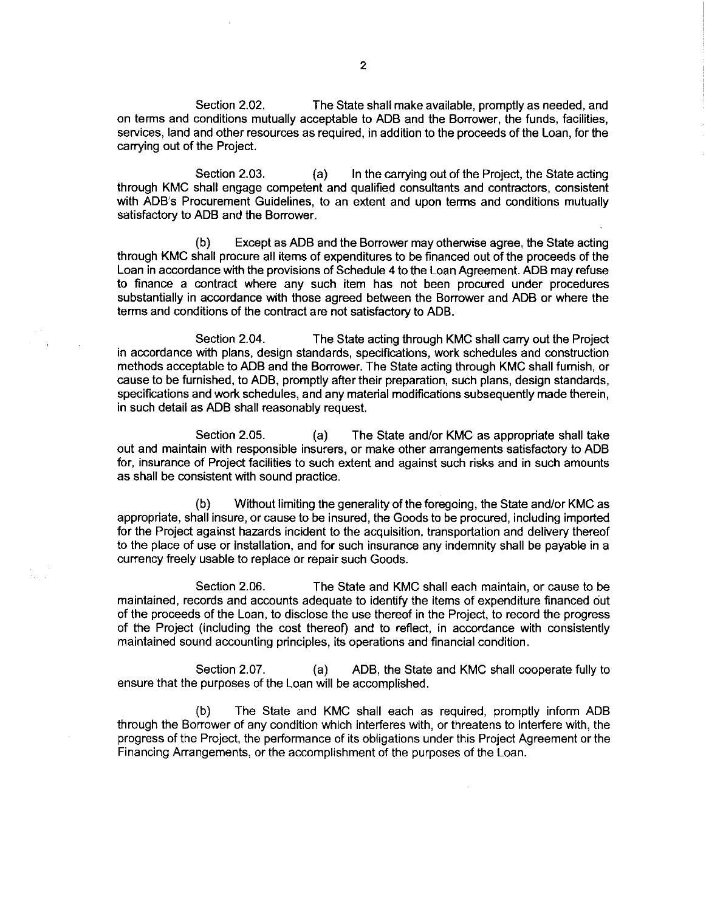Section 2.02. The State shall make available, promptly as needed, and on terms and conditions mutually acceptable to ADB and the Borrower, the funds, facilities, services, land and other resources as required, in addition to the proceeds of the Loan, for the carrying out of the Project.

Section 2.03. (a) In the carrying out of the Project, the State acting through KMC shall engage competent and qualified consultants and contractors, consistent with ADB's Procurement Guidelines, to an extent and upon terms and conditions mutually satisfactory to ADB and the Borrower.

(b) Except as ADB and the Borrower may otherwise agree, the State acting through KMC shall procure all items of expenditures to befinanced out of the proceeds of the Loan in accordance with the provisions of Schedule 4 to the Loan Agreement. ADB may refuse to finance a contract where any such item has not been procured under procedures substantially in accordance with those agreed between the Borrower and ADB or where the terms and conditions of the contract are not satisfactory to ADB.

Section 2.04. The State acting through KMC shall carry out the Project in accordance with plans, design standards, specifications, work schedules and construction methods acceptable to ADB and the Borrower. The State acting through KMC shall furnish, or cause to be furnished, to ADB, promptly after their preparation, such plans, design standards, specifications and work schedules, and any material modifications subsequently made therein, in such detail as ADB shall reasonably request.

Section 2.05. (a) The State and/or KMC as appropriate shall take out and maintain with responsible insurers, or make other arrangements satisfactory to ADB for, insurance of Project facilities to such extent and against such risks and in such amounts as shall be consistent with sound practice.

(b) Without limiting the generality of theforegoing, the State and/or KMC as appropriate, shall insure, or cause to be insured, the Goods to be procured, including imported for the Project against hazards incident to the acquisition, transportation and delivery thereof to the place of use or installation, and for such insurance any indemnity shall be payable in a currency freely usable to replace or repair such Goods.

Section 2.06. The State and KMC shall each maintain, or cause to be maintained, records and accounts adequate to identify the items of expenditurefinanced out of the proceeds of the Loan, to disclose the use thereof in the Project, to record the progress of the Project (including the cost thereof) and to reflect, in accordance with consistently maintained sound accounting principles, its operations andfinancial condition.

Section 2.07. (a) ADB, the State and KMC shall cooperate fully to ensure that the purposes of the Loan will be accomplished.

(b) The State and KMC shall each as required, promptly inform ADB through the Borrower of any condition which interferes with, or threatens to interfere with, the progress of the Project, the performance of its obligations under this Project Agreement or the Financing Arrangements, or the accomplishment of the purposes of the Loan.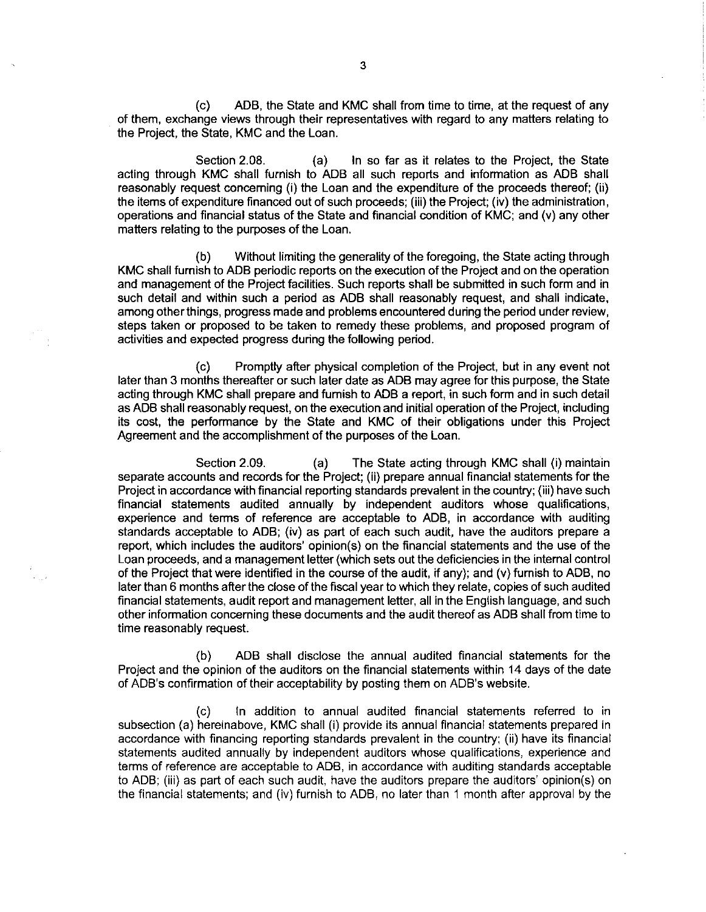(c) ADB, the State and KMC shall from time to time, at the request of any of them, exchange views through their representatives with regard to any matters relating to the Project, the State, KMC and the Loan.

Section 2.08. (a) In so far as it relates to the Project, the State acting through KMC shall furnish to ADB all such reports and information as ADB shall reasonably request concerning (i) the Loan and the expenditure of the proceeds thereof; (ii) the items of expenditure financed out of such proceeds; (iii) the Project; (iv) the administration, operations and financial status of the State and financial condition of KMC; and (v) any other matters relating to the purposes of the Loan.

(b) Without limiting the generality of the foregoing, the State acting through KMC shall furnish to ADB periodic reports on the execution of the Project and on the operation and management of the Project facilities. Such reports shall be submitted in such form and in such detail and within such a period as ADB shall reasonably request, and shall indicate, among other things, progress made and problems encountered during the period under review, steps taken or proposed to be taken to remedy these problems, and proposed program of activities and expected progress during the following period.

(c) Promptly after physical completion of the Project, but in any event not later than 3 months thereafter or such later date as ADB may agree for this purpose, the State acting through KMC shall prepare and furnish to ADB a report, in such form and in such detail as ADB shall reasonably request, on the execution and initial operation of the Project, including its cost, the performance by the State and KMC of their obligations under this Project Agreement and the accomplishment of the purposes of the Loan.

Section 2.09. (a) The State acting through KMC shall (i) maintain separate accounts and records for the Project; (ii) prepare annual financial statements for the Project in accordance with financial reporting standards prevalent in the country; (iii) have such financial statements audited annually by independent auditors whose qualifications, experience and terms of reference are acceptable to ADB, in accordance with auditing standards acceptable to ADB; (iv) as part of each such audit, have the auditors prepare a report, which includes the auditors' opinion(s) on the financial statements and the use of the Loan proceeds, and a management letter (which sets out the deficiencies in the internal control of the Project that were identified in the course of the audit, if any); and (v) furnish to ADB, no later than 6 months after the close of the fiscal year to which they relate, copies of such audited financial statements, audit report and management letter, all in the English language, and such other information concerning these documents and the audit thereof as ADB shall from time to time reasonably request.

(b) ADB shall disclose the annual audited financial statements for the Project and the opinion of the auditors on the financial statements within 14 days of the date of ADB's confirmation of their acceptability by posting them on ADB's website.

(c) In addition to annual audited financial statements referred to in subsection (a) hereinabove, KMC shall (i) provide its annual financial statements prepared in accordance with financing reporting standards prevalent in the country; (ii) have its financial statements audited annually by independent auditors whose qualifications, experience and terms of reference are acceptable to ADB, in accordance with auditing standards acceptable to ADB; (iii) as part of each such audit, have the auditors prepare the auditors' opinion(s) on the financial statements; and (iv) furnish to ADB, no later than 1 month after approval by the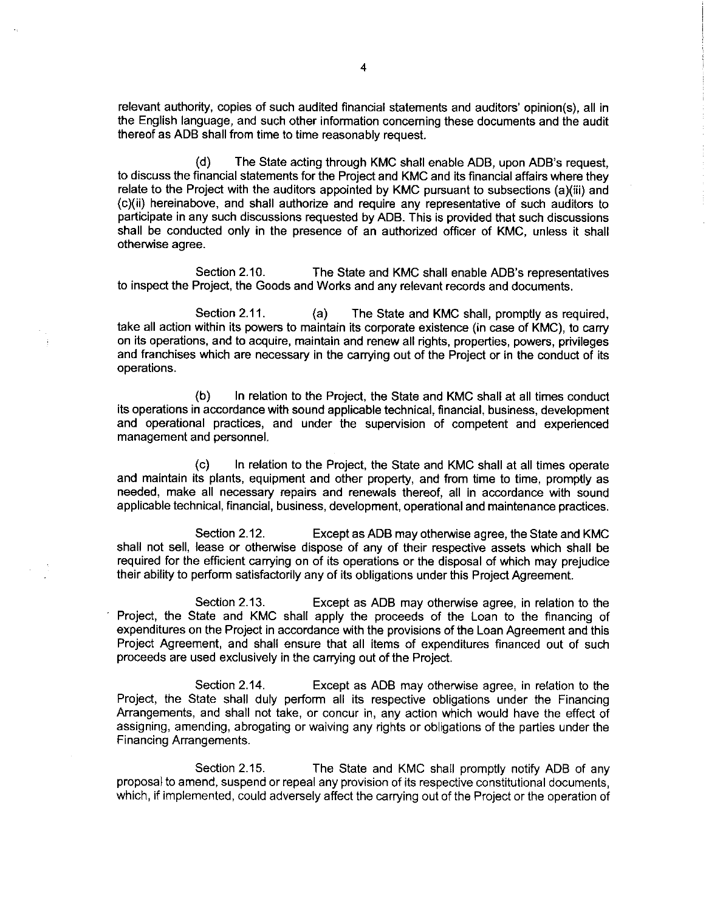relevant authority, copies of such audited financial statements and auditors' opinion(s), all in the English language, and such other information concerning these documents and the audit thereof as ADB shall from time to time reasonably request.

(d) The State acting through KMC shall enable ADB, upon ADB's request, to discuss the financial statements for the Project and KMC and its financial affairs where they relate to the Project with the auditors appointed by KMC pursuant to subsections (a)(iii) and (c)(ii) hereinabove, and shall authorize and require any representative of such auditors to participate in any such discussions requested by ADB. This is provided that such discussions shall be conducted only in the presence of an authorized officer of KMC, unless it shall otherwise agree.

Section 2.10. The State and KMC shall enable ADB's representatives to inspect the Project, the Goods and Works and any relevant records and documents.

Section 2.11. (a) The State and KMC shall, promptly as required, take all action within its powers to maintain its corporate existence (in case of KMC), to carry on its operations, and to acquire, maintain and renew all rights, properties, powers, privileges and franchises which are necessary in the carrying out of the Project or in the conduct of its operations.

(b) In relation to the Project, the State and KMC shall at all times conduct its operations in accordance with sound applicable technical, financial, business, development and operational practices, and under the supervision of competent and experienced management and personnel.

(c) In relation to the Project, the State and KMC shall at all times operate and maintain its plants, equipment and other property, and from time to time, promptly as needed, make all necessary repairs and renewals thereof, all in accordance with sound applicable technical, financial, business, development, operational and maintenance practices.

Section 2.12. Except as ADB may otherwise agree, the State and KMC shall not sell, lease or otherwise dispose of any of their respective assets which shall be required for the efficient carrying on of its operations or the disposal of which may prejudice their ability to perform satisfactorily any of its obligations under this Project Agreement.

Section 2.13. Except as ADB may otherwise agree, in relation to the Project, the State and KMC shall apply the proceeds of the Loan to the financing of expenditures on the Project in accordance with the provisions of the Loan Agreement and this Project Agreement, and shall ensure that all items of expenditures financed out of such proceeds are used exclusively in the carrying out of the Project.

Section 2.14. Except as ADB may otherwise agree, in relation to the Project, the State shall duly perform all its respective obligations under the Financing Arrangements, and shall not take, or concur in, any action which would have the effect of assigning, amending, abrogating or waiving any rights or obligations of the parties under the Financing Arrangements.

Section 2.15. The State and KMC shall promptly notify ADB of any proposal to amend, suspend or repeal any provision of its respective constitutional documents, which, if implemented, could adversely affect the carrying out of the Project or the operation of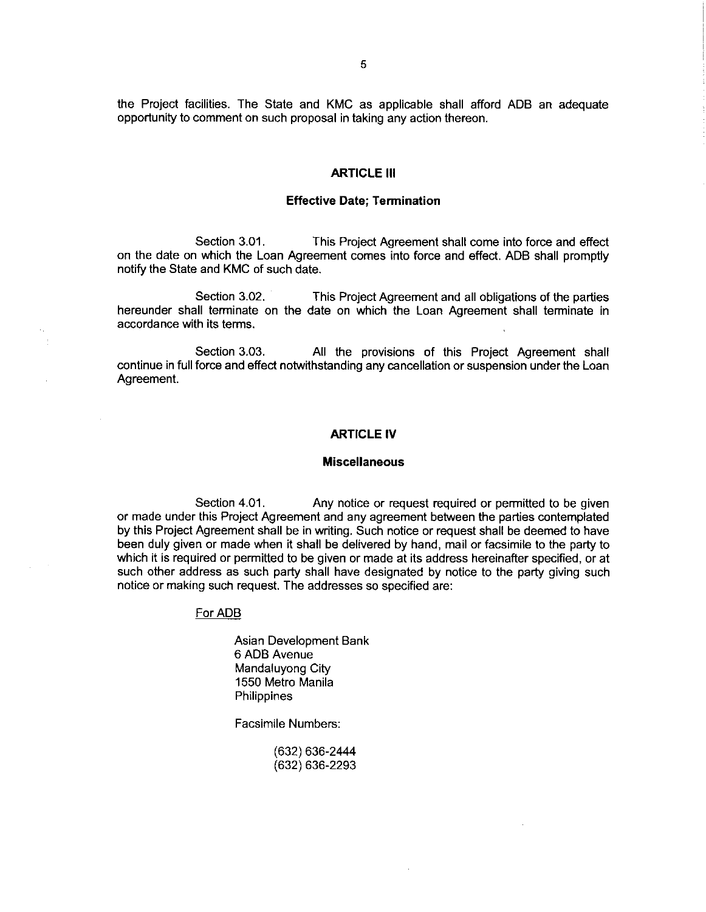the Project facilities. The State and KMC as applicable shall afford ADB an adequate opportunity to comment on such proposal in taking any action thereon.

#### **ARTICLE III**

#### Effective Date; Termination

Section 3.01. This Project Agreement shall come into force and effect on the date on which the Loan Agreement comes into force and effect. ADB shall promptly notify the State and KMC of such date.

Section 3.02. This Project Agreement and all obligations of the parties hereunder shall terminate on the date on which the Loan Agreement shall terminate in accordance with its terms.

Section 3.03. All the provisions of this Project Agreement shall continue infull force and effect notwithstandingany cancellation or suspension underthe Loan Agreement.

## ARTICLE IV

#### Miscellaneous

Section 4.01. Any notice or request required or permitted to be given or made under this Project Agreement and any agreement between the parties contemplated by this Project Agreement shall be in writing. Such notice or request shall be deemed to have been duly given or made when it shall be delivered by hand, mail or facsimile to the party to which it is required or permitted to be given or made at its address hereinafter specified, or at such other address as such party shall have designated by notice to the party giving such notice or making such request. The addresses so specified are:

#### For ADB

Asian Development Bank 6 ADB Avenue Mandaluyong City 1550 Metro Manila **Philippines** 

Facsimile Numbers:

(632) 636-2444 (632) 636- 2293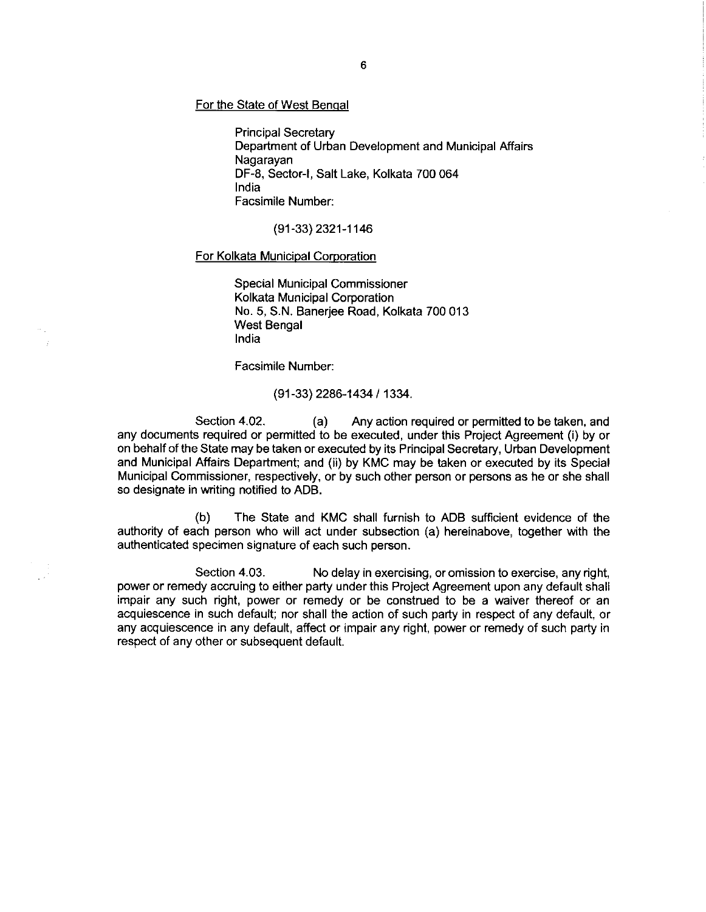For the State of West Benqal

Principal Secretary Department of Urban Development and Municipal Affairs Nagarayan DF-8, Sector-I, Salt Lake, Kolkata 700 064 India Facsimile Number:

(91-33) 2321-1146

#### For Kolkata Municipal Corporation

Special Municipal Commissioner Kolkata Municipal Corporation No. 5, S.N. Banerjee Road, Kolkata 700 013 West Bengal India

Facsimile Number:

(91- 33) 2286-1434 / 1334.

Section 4.02. (a) Any action required or permitted to be taken, and any documents required or permitted to be executed, under this Project Agreement (i) by or on behalf of the State may be taken or executed by its Principal Secretary, Urban Development and Municipal Affairs Department; and (ii) by KMC may be taken or executed by its Special Municipal Commissioner, respectively, or by such other person or persons as he or she shall so designate in writing notified to ADB.

(b) The State and KMC shall furnish to ADB sufficient evidence of the authority of each person who will act under subsection (a) hereinabove, together with the authenticated specimen signature of each such person.

Section 4.03. No delay in exercising, or omission to exercise, any right, power or remedy accruing to either party under this Project Agreement upon any default shall impair any such right, power or remedy or be construed to be a waiver thereof or an acquiescence in such default; nor shall the action of such party in respect of any default, or any acquiescence in any default, affect or impair any right, power or remedy of such party in respect of any other or subsequent default.